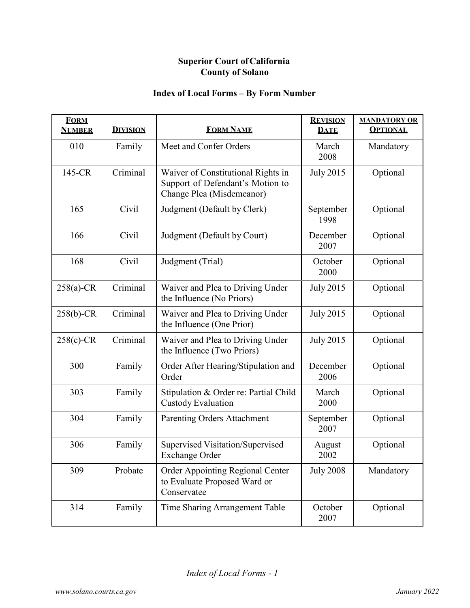| <b>FORM</b><br><b>NUMBER</b> | <b>DIVISION</b> | <b>FORM NAME</b>                                                                                    | <b>REVISION</b><br><b>DATE</b> | <b>MANDATORY OR</b><br><b>OPTIONAL</b> |
|------------------------------|-----------------|-----------------------------------------------------------------------------------------------------|--------------------------------|----------------------------------------|
| 010                          | Family          | Meet and Confer Orders                                                                              | March<br>2008                  | Mandatory                              |
| 145-CR                       | Criminal        | Waiver of Constitutional Rights in<br>Support of Defendant's Motion to<br>Change Plea (Misdemeanor) | <b>July 2015</b>               | Optional                               |
| 165                          | Civil           | Judgment (Default by Clerk)                                                                         | September<br>1998              | Optional                               |
| 166                          | Civil           | Judgment (Default by Court)                                                                         | December<br>2007               | Optional                               |
| 168                          | Civil           | Judgment (Trial)                                                                                    | October<br>2000                | Optional                               |
| $258(a)$ -CR                 | Criminal        | Waiver and Plea to Driving Under<br>the Influence (No Priors)                                       | <b>July 2015</b>               | Optional                               |
| $258(b)-CR$                  | Criminal        | Waiver and Plea to Driving Under<br>the Influence (One Prior)                                       | <b>July 2015</b>               | Optional                               |
| 258(c)-CR                    | Criminal        | Waiver and Plea to Driving Under<br>the Influence (Two Priors)                                      | <b>July 2015</b>               | Optional                               |
| 300                          | Family          | Order After Hearing/Stipulation and<br>Order                                                        | December<br>2006               | Optional                               |
| 303                          | Family          | Stipulation & Order re: Partial Child<br><b>Custody Evaluation</b>                                  | March<br>2000                  | Optional                               |
| 304                          | Family          | <b>Parenting Orders Attachment</b>                                                                  | September<br>2007              | Optional                               |
| 306                          | Family          | Supervised Visitation/Supervised<br>Exchange Order                                                  | August<br>2002                 | Optional                               |
| 309                          | Probate         | <b>Order Appointing Regional Center</b><br>to Evaluate Proposed Ward or<br>Conservatee              | <b>July 2008</b>               | Mandatory                              |
| 314                          | Family          | Time Sharing Arrangement Table                                                                      | October<br>2007                | Optional                               |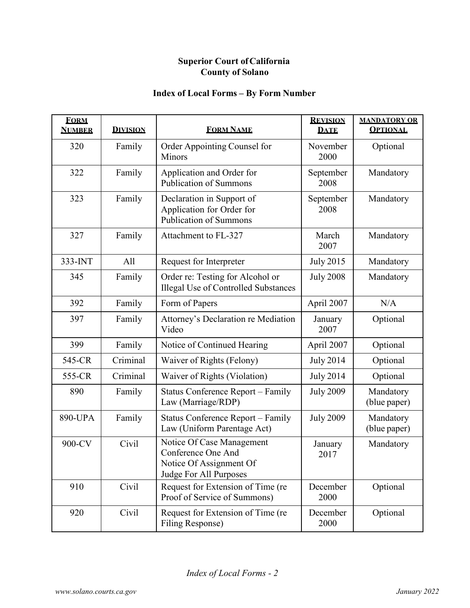| <b>FORM</b><br><b>NUMBER</b> | <b>DIVISION</b> | <b>FORM NAME</b>                                                                                     | <b>REVISION</b><br><b>DATE</b> | <b>MANDATORY OR</b><br><b>OPTIONAL</b> |
|------------------------------|-----------------|------------------------------------------------------------------------------------------------------|--------------------------------|----------------------------------------|
| 320                          | Family          | Order Appointing Counsel for<br>Minors                                                               | November<br>2000               | Optional                               |
| 322                          | Family          | Application and Order for<br><b>Publication of Summons</b>                                           | September<br>2008              | Mandatory                              |
| 323                          | Family          | Declaration in Support of<br>Application for Order for<br><b>Publication of Summons</b>              | September<br>2008              | Mandatory                              |
| 327                          | Family          | Attachment to FL-327                                                                                 | March<br>2007                  | Mandatory                              |
| 333-INT                      | All             | Request for Interpreter                                                                              | <b>July 2015</b>               | Mandatory                              |
| 345                          | Family          | Order re: Testing for Alcohol or<br><b>Illegal Use of Controlled Substances</b>                      | <b>July 2008</b>               | Mandatory                              |
| 392                          | Family          | Form of Papers                                                                                       | April 2007                     | N/A                                    |
| 397                          | Family          | Attorney's Declaration re Mediation<br>Video                                                         | January<br>2007                | Optional                               |
| 399                          | Family          | Notice of Continued Hearing                                                                          | April 2007                     | Optional                               |
| 545-CR                       | Criminal        | Waiver of Rights (Felony)                                                                            | <b>July 2014</b>               | Optional                               |
| 555-CR                       | Criminal        | Waiver of Rights (Violation)                                                                         | <b>July 2014</b>               | Optional                               |
| 890                          | Family          | <b>Status Conference Report – Family</b><br>Law (Marriage/RDP)                                       | <b>July 2009</b>               | Mandatory<br>(blue paper)              |
| 890-UPA                      | Family          | Status Conference Report - Family<br>Law (Uniform Parentage Act)                                     | <b>July 2009</b>               | Mandatory<br>(blue paper)              |
| 900-CV                       | Civil           | Notice Of Case Management<br>Conference One And<br>Notice Of Assignment Of<br>Judge For All Purposes | January<br>2017                | Mandatory                              |
| 910                          | Civil           | Request for Extension of Time (re<br>Proof of Service of Summons)                                    | December<br>2000               | Optional                               |
| 920                          | Civil           | Request for Extension of Time (re<br>Filing Response)                                                | December<br>2000               | Optional                               |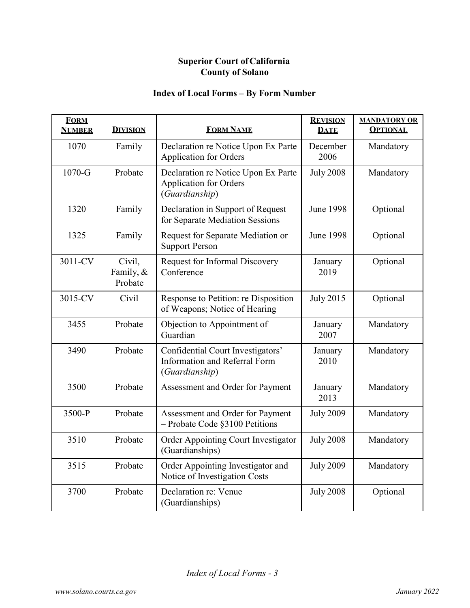| <b>FORM</b><br><b>NUMBER</b> | <b>DIVISION</b>                | <b>FORM NAME</b>                                                                       | <b>REVISION</b><br><b>DATE</b> | <b>MANDATORY OR</b><br><b>OPTIONAL</b> |
|------------------------------|--------------------------------|----------------------------------------------------------------------------------------|--------------------------------|----------------------------------------|
| 1070                         | Family                         | Declaration re Notice Upon Ex Parte<br><b>Application for Orders</b>                   | December<br>2006               | Mandatory                              |
| $1070-G$                     | Probate                        | Declaration re Notice Upon Ex Parte<br><b>Application for Orders</b><br>(Guardianship) | <b>July 2008</b>               | Mandatory                              |
| 1320                         | Family                         | Declaration in Support of Request<br>for Separate Mediation Sessions                   | <b>June 1998</b>               | Optional                               |
| 1325                         | Family                         | Request for Separate Mediation or<br><b>Support Person</b>                             | <b>June 1998</b>               | Optional                               |
| 3011-CV                      | Civil,<br>Family, &<br>Probate | Request for Informal Discovery<br>Conference                                           | January<br>2019                | Optional                               |
| 3015-CV                      | Civil                          | Response to Petition: re Disposition<br>of Weapons; Notice of Hearing                  | <b>July 2015</b>               | Optional                               |
| 3455                         | Probate                        | Objection to Appointment of<br>Guardian                                                | January<br>2007                | Mandatory                              |
| 3490                         | Probate                        | Confidential Court Investigators'<br>Information and Referral Form<br>(Guardianship)   | January<br>2010                | Mandatory                              |
| 3500                         | Probate                        | Assessment and Order for Payment                                                       | January<br>2013                | Mandatory                              |
| 3500-P                       | Probate                        | Assessment and Order for Payment<br>- Probate Code §3100 Petitions                     | <b>July 2009</b>               | Mandatory                              |
| 3510                         | Probate                        | Order Appointing Court Investigator<br>(Guardianships)                                 | <b>July 2008</b>               | Mandatory                              |
| 3515                         | Probate                        | Order Appointing Investigator and<br>Notice of Investigation Costs                     | <b>July 2009</b>               | Mandatory                              |
| 3700                         | Probate                        | Declaration re: Venue<br>(Guardianships)                                               | <b>July 2008</b>               | Optional                               |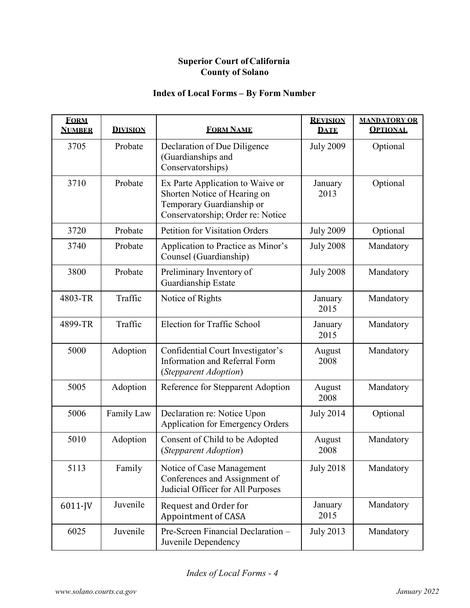| <b>FORM</b><br><b>NUMBER</b> | <b>DIVISION</b> | <b>FORM NAME</b>                                                                                                                   | <b>REVISION</b><br><b>DATE</b> | <b>MANDATORY OR</b><br><b>OPTIONAL</b> |
|------------------------------|-----------------|------------------------------------------------------------------------------------------------------------------------------------|--------------------------------|----------------------------------------|
| 3705                         | Probate         | Declaration of Due Diligence<br>(Guardianships and<br>Conservatorships)                                                            | <b>July 2009</b>               | Optional                               |
| 3710                         | Probate         | Ex Parte Application to Waive or<br>Shorten Notice of Hearing on<br>Temporary Guardianship or<br>Conservatorship; Order re: Notice | January<br>2013                | Optional                               |
| 3720                         | Probate         | <b>Petition for Visitation Orders</b>                                                                                              | <b>July 2009</b>               | Optional                               |
| 3740                         | Probate         | Application to Practice as Minor's<br>Counsel (Guardianship)                                                                       | <b>July 2008</b>               | Mandatory                              |
| 3800                         | Probate         | Preliminary Inventory of<br>Guardianship Estate                                                                                    | <b>July 2008</b>               | Mandatory                              |
| 4803-TR                      | Traffic         | Notice of Rights                                                                                                                   | January<br>2015                | Mandatory                              |
| 4899-TR                      | Traffic         | Election for Traffic School                                                                                                        | January<br>2015                | Mandatory                              |
| 5000                         | Adoption        | Confidential Court Investigator's<br><b>Information and Referral Form</b><br>(Stepparent Adoption)                                 | August<br>2008                 | Mandatory                              |
| 5005                         | Adoption        | Reference for Stepparent Adoption                                                                                                  | August<br>2008                 | Mandatory                              |
| 5006                         | Family Law      | Declaration re: Notice Upon<br>Application for Emergency Orders                                                                    | <b>July 2014</b>               | Optional                               |
| 5010                         | Adoption        | Consent of Child to be Adopted<br>(Stepparent Adoption)                                                                            | August<br>2008                 | Mandatory                              |
| 5113                         | Family          | Notice of Case Management<br>Conferences and Assignment of<br>Judicial Officer for All Purposes                                    | <b>July 2018</b>               | Mandatory                              |
| 6011-JV                      | Juvenile        | Request and Order for<br>Appointment of CASA                                                                                       | January<br>2015                | Mandatory                              |
| 6025                         | Juvenile        | Pre-Screen Financial Declaration -<br>Juvenile Dependency                                                                          | <b>July 2013</b>               | Mandatory                              |